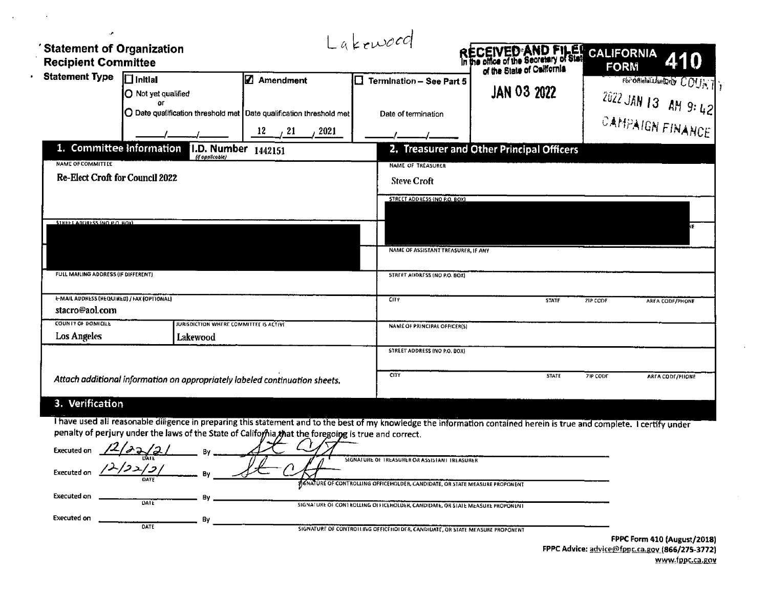| <b>Statement Type</b>                                               | $\Box$ Initial<br>O Not yet qualified<br>or                                                           | <b>Z</b> Amendment     | $\Box$ Termination - See Part 5                                                                                                                                         | of the State of California                |                 | For official Useforty COUNTY |
|---------------------------------------------------------------------|-------------------------------------------------------------------------------------------------------|------------------------|-------------------------------------------------------------------------------------------------------------------------------------------------------------------------|-------------------------------------------|-----------------|------------------------------|
|                                                                     | O Date qualification threshold met Date qualification threshold met                                   |                        |                                                                                                                                                                         | <b>JAN 03 2022</b>                        |                 | 2022 JAN 13 AM 9: 42         |
|                                                                     |                                                                                                       | $\frac{12}{2}$ 21 2021 | Date of termination                                                                                                                                                     |                                           |                 | CAMPAIGN FINANCE             |
| 1. Committee Information                                            | <b>I.D. Number</b> 1442151<br>(if opplicable)                                                         |                        |                                                                                                                                                                         | 2. Treasurer and Other Principal Officers |                 |                              |
| <b>NAME OF COMMITTLE</b><br><b>Re-Elect Croft for Council 2022</b>  |                                                                                                       |                        | NAME OF TREASURER<br><b>Steve Croft</b>                                                                                                                                 |                                           |                 |                              |
|                                                                     |                                                                                                       |                        | STREET ADDRESS (NO P.O. BOX)                                                                                                                                            |                                           |                 |                              |
| STREET ADDRESS (NO P.O. BOX)                                        |                                                                                                       |                        |                                                                                                                                                                         |                                           |                 |                              |
|                                                                     |                                                                                                       |                        | NAME OF ASSISTANT TREASURER, IF ANY                                                                                                                                     |                                           |                 |                              |
| FULL MAILING ADDRESS (IF DIFFERENT)                                 |                                                                                                       |                        | STREET ADDRESS (NO P.O. BOX)                                                                                                                                            |                                           |                 |                              |
| <b>E-MAIL ADDRESS (REQUIRED) / FAX (OPTIONAL)</b><br>stacro@aol.com |                                                                                                       |                        | <b>CTY</b>                                                                                                                                                              | <b>STATE</b>                              | ZIP CODE        | AREA CODE/PHONE              |
| COUNTY OF DOMICILE                                                  | JURISDICTION WHERE COMMITTEE IS ACTIVE                                                                |                        | <b>NAME OF PRINCIPAL OFFICER(S)</b>                                                                                                                                     |                                           |                 |                              |
| <b>Los Angeles</b>                                                  | Lakewood                                                                                              |                        | STREET ADDRESS (NO P.O. BOX)                                                                                                                                            |                                           |                 |                              |
|                                                                     | Attach additional information on appropriately labeled continuation sheets.                           |                        | <b>CITY</b>                                                                                                                                                             | <b>STATE</b>                              | <b>ZIP CODE</b> | AREA CODE/PHONE              |
| 3. Verification                                                     |                                                                                                       |                        |                                                                                                                                                                         |                                           |                 |                              |
|                                                                     | penalty of perjury under the laws of the State of California, that the foregoing is true and correct. |                        | I have used all reasonable diligence in preparing this statement and to the best of my knowledge the information contained herein is true and complete. I certify under |                                           |                 |                              |
|                                                                     | Executed on $\frac{12}{2}$ $\frac{3}{2}$ $\frac{1}{2}$ By ______                                      |                        | SIGNATURE OF TREASURER OR ASSISTANT TREASURER                                                                                                                           |                                           |                 |                              |
|                                                                     | Executed on $\frac{12}{22}$ $\frac{5}{2}$ By                                                          |                        |                                                                                                                                                                         |                                           |                 |                              |
|                                                                     |                                                                                                       |                        | SANTURE OF CONTROLLING OFFICEHOLDER, CANDIDATE, OR STATE MEASURE PROPONENT                                                                                              |                                           |                 |                              |

 $\mathbf{A}$ 

 $\cdot$ 

FPPC Form 410 (August/2018)<br>FPPC Advice: advice@fppc.ca.gov.(866/275-3772) www.fppc.ca.gov

 $\sim$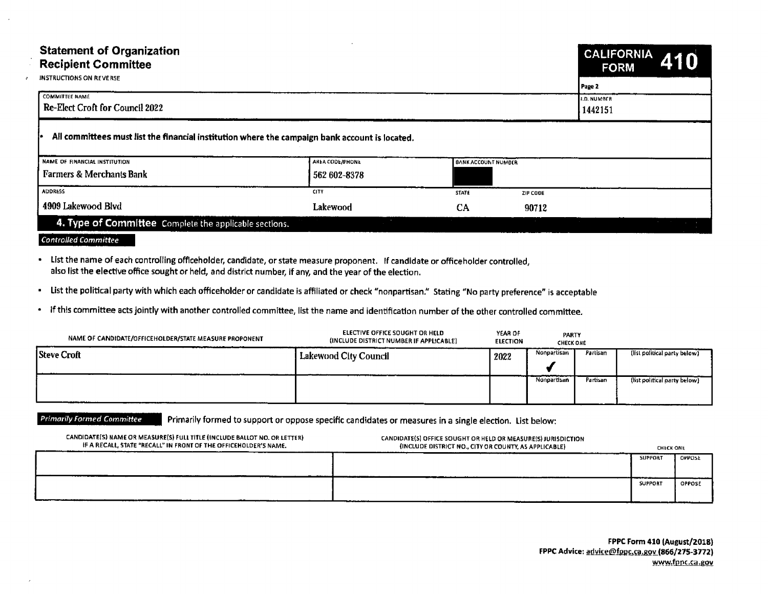| Statement of Organization<br>Recipient Committee                                                                                                                                                                                                                   |                                                                           |                                                                                                                        | CALIFORNIA 410<br><b>FORM</b>                          |
|--------------------------------------------------------------------------------------------------------------------------------------------------------------------------------------------------------------------------------------------------------------------|---------------------------------------------------------------------------|------------------------------------------------------------------------------------------------------------------------|--------------------------------------------------------|
| <b>INSTRUCTIONS ON REVERSE</b><br>COMMITTEE NAME<br>Re-Elect Croft for Council 2022                                                                                                                                                                                |                                                                           |                                                                                                                        | D. NUMBER                                              |
|                                                                                                                                                                                                                                                                    |                                                                           |                                                                                                                        | 1442151                                                |
| All committees must list the financial institution where the campaign bank account is located.                                                                                                                                                                     |                                                                           |                                                                                                                        |                                                        |
| NAME OF FINANCIAL INSTITUTION<br>Farmers & Merchants Bank                                                                                                                                                                                                          | AREA CODE/PHONE<br>562 602-8378                                           |                                                                                                                        |                                                        |
| ADDRESS                                                                                                                                                                                                                                                            |                                                                           | ZIP CODE<br><b>STATE</b>                                                                                               |                                                        |
| 4909 Lakewood Blvd<br>4. Type of Committee Complete the applicable sections.                                                                                                                                                                                       | Lakewood                                                                  | 90712<br>- CA                                                                                                          |                                                        |
| <b>Controlled Committee</b>                                                                                                                                                                                                                                        |                                                                           |                                                                                                                        |                                                        |
| • List the name of each controlling officeholder, candidate, or state measure proponent. If candidate or officeholder controlled,                                                                                                                                  |                                                                           |                                                                                                                        |                                                        |
| also list the elective office sought or held, and district number, if any, and the year of the election.<br>· List the political party with which each officeholder or candidate is affiliated or check "nonpartisan." Stating "No party preference" is acceptable |                                                                           |                                                                                                                        |                                                        |
| · If this committee acts jointly with another controlled committee, list the name and identification number of the other controlled committee.                                                                                                                     |                                                                           |                                                                                                                        |                                                        |
| NAME OF CANDIDATE/OFFICEHOLDER/STATE MEASURE PROPONENT                                                                                                                                                                                                             | ELECTIVE OFFICE SOUGHT OR HELD<br>(INCLUDE DISTRICT NUMBER IF APPLICABLE) | YEAR OF<br>ELECTION<br><b>PARTY</b><br>CHECK ONE                                                                       |                                                        |
| Steve Croft                                                                                                                                                                                                                                                        | Lakewood City Council                                                     |                                                                                                                        | 2022 Nonpartisan Partisan (list political party below) |
|                                                                                                                                                                                                                                                                    |                                                                           |                                                                                                                        | Nonpartisan Partisan (list political party below)      |
|                                                                                                                                                                                                                                                                    |                                                                           |                                                                                                                        |                                                        |
| Primarily Formed Committee Primarily formed to support or oppose specific candidates or measures in a single election. List below:                                                                                                                                 |                                                                           |                                                                                                                        |                                                        |
| CANDIDATE(S) NAME OR MEASURE(S) FULL TITLE (INCLUDE BALLOT NO. OR LETTER)<br>IF A RECALL, STATE "RECALL" IN FRONT OF THE OFFICEHOLDER'S NAME.                                                                                                                      |                                                                           | CANDIDATE(S) OFFICE SOUGHT OR HELD OR MEASURE(S) JURISDICTION<br>(INCLUDE DISTRICT NO., CITY OR COUNTY, AS APPLICABLE) | <b>CHECK ONE</b><br>SUPPORT OPPOSE                     |
|                                                                                                                                                                                                                                                                    |                                                                           |                                                                                                                        | SUPPORT OPPOSE                                         |

| NAME OF CANDIDATE/OFFICEHOLDER/STATE MEASURE PROPONENT | ELECTIVE OFFICE SOUGHT OR HELD<br>(INCLUDE DISTRICT NUMBER IF APPLICABLE) | YEAR OF<br><b>ELECTION</b> | PARTY<br><b>CHECK ONE</b> |          |                              |
|--------------------------------------------------------|---------------------------------------------------------------------------|----------------------------|---------------------------|----------|------------------------------|
| <b>Steve Croft</b>                                     | Lakewood City Council                                                     | 2022                       | Nonpartisan               | Partisan | (list political party below) |
|                                                        |                                                                           |                            | Nonpartisan               | Partisan | (list political party below) |

| CANDIDATE(S) NAME OR MEASURE(S) FULL TITLE (INCLUDE BALLOT NO. OR LETTER)<br>IF A RECALL, STATE "RECALL" IN FRONT OF THE OFFICEHOLDER'S NAME. | CANDIDATE(S) OFFICE SOUGHT OR HELD OR MEASURE(S) JURISDICTION<br>(INCLUDE DISTRICT NO., CITY OR COUNTY, AS APPLICABLE) | <b>CHECK ONE</b> |               |
|-----------------------------------------------------------------------------------------------------------------------------------------------|------------------------------------------------------------------------------------------------------------------------|------------------|---------------|
|                                                                                                                                               |                                                                                                                        | <b>SUPPORT</b>   | OPPOSE        |
|                                                                                                                                               |                                                                                                                        | <b>SUPPORT</b>   | <b>OPPOSE</b> |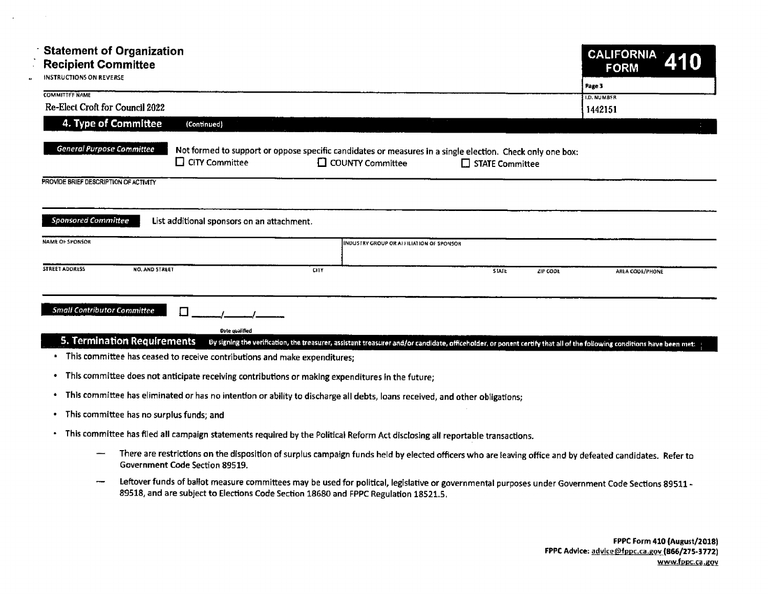| <b>Statement of Organization</b>                                                                                                                                                                                      |                               |
|-----------------------------------------------------------------------------------------------------------------------------------------------------------------------------------------------------------------------|-------------------------------|
| <b>Recipient Committee</b><br><b>INSTRUCTIONS ON REVERSE</b>                                                                                                                                                          | CALIFORNIA 410                |
| <b>COMMITTEE NAME</b>                                                                                                                                                                                                 |                               |
| <b>Re-Elect Croft for Council 2022</b><br>4. Type of Committee (Continued)                                                                                                                                            | 1442151                       |
|                                                                                                                                                                                                                       |                               |
| <b>General Purpose Committee</b><br>Not formed to support or oppose specific candidates or measures in a single election. Check only one box:<br>$\Box$ CiTY Committee $\Box$ COUNTY Committee $\Box$ STATE Committee |                               |
| PROVIDE BRIEF DESCRIPTION OF ACTIVITY                                                                                                                                                                                 |                               |
|                                                                                                                                                                                                                       |                               |
| Sponsored Committee<br>List additional sponsors on an attachment.                                                                                                                                                     |                               |
| NAME OF SPONSOR<br>INDUSTRY GROUP OR AFFILIATION OF SPONSOR                                                                                                                                                           |                               |
| STREET ADDRESS NO. AND STREET                                                                                                                                                                                         | $ZIP$ CODE<br>AREA CODE/PHONE |
|                                                                                                                                                                                                                       |                               |
| <b>Small Contributor Committee</b>                                                                                                                                                                                    |                               |
| Date qualified<br>5. Termination Requirements By signing the verification, the treasurer, assistant treasurer and/or candidate, officeholder, or ponent certify that all of the following conditions have been met:   |                               |
| · This committee has ceased to receive contributions and make expenditures;                                                                                                                                           |                               |
| • This committee does not anticipate receiving contributions or making expenditures in the future;                                                                                                                    |                               |
| * This committee has eliminated or has no intention or ability to discharge all debts, loans received, and other obligations;<br>• This committee has no surplus funds; and                                           |                               |
| $\bullet$ This committee has filed all compaign statements regulared by the Belitical Before Astrological U. (1986)                                                                                                   |                               |

- This committee has eliminated or has no intention or ability to discharge all debts, loans received, and other obligations;
- This committee has no surplus funds; and
- This committee has filed all campaign statements required by the Political Reform Act disclosing all reportable transactions.
	- There are restrictions on the disposition of surplus campaign funds held by elected officers who are leaving office and by defeated candidates. Refer to  $\frac{1}{2}$ Government Code Section 89519.
	- Leftover funds of ballot measure committees may be used for political, legislative or governmental purposes under Government Code Sections 89511 -89518, and are subject to Elections Code Section 18680 and FPPC Regulation 18521. 5,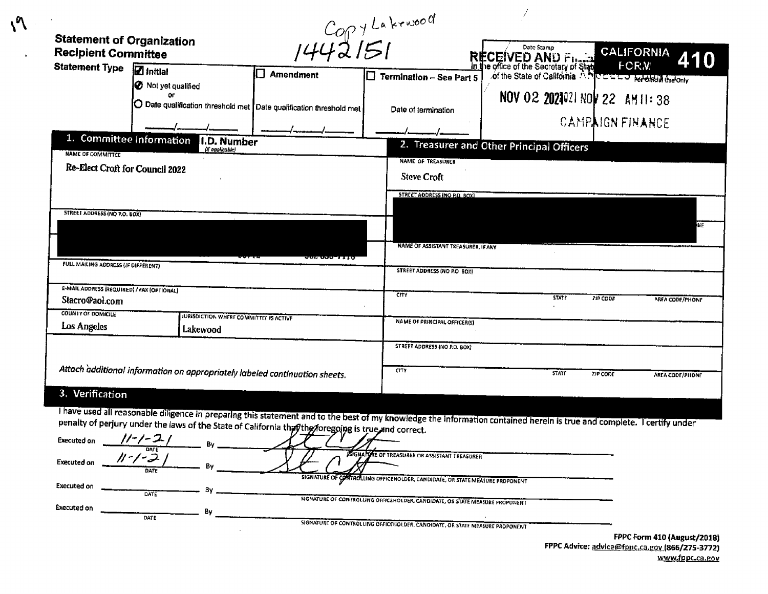|                                                                |                                                                                                                                                                                                                                                                                |                | 5071442151                                                                   |                                           |                                           |
|----------------------------------------------------------------|--------------------------------------------------------------------------------------------------------------------------------------------------------------------------------------------------------------------------------------------------------------------------------|----------------|------------------------------------------------------------------------------|-------------------------------------------|-------------------------------------------|
| <b>Statement of Organization</b><br><b>Recipient Committee</b> |                                                                                                                                                                                                                                                                                |                |                                                                              | Date Stamp                                | <b>CALIFORNIA</b>                         |
| <b>Statement Type</b>                                          | $\overline{\mathbf{Z}}$ Initial<br><b>O</b> Not yet qualified                                                                                                                                                                                                                  | П<br>Amendment | $\square$ Termination - See Part 5                                           | RECEIVED AND FILED CALIFORNIA             | 410                                       |
|                                                                | O Date qualification threshold met Date qualification threshold met                                                                                                                                                                                                            |                | Date of termination                                                          | NOV 02 2024021 NOV 22 AM 11:38            |                                           |
|                                                                |                                                                                                                                                                                                                                                                                |                |                                                                              |                                           | <b>CAMPAIGN FINANCE</b>                   |
| 1. Committee Information<br><b>NAME OF COMMITTEE</b>           | <b>I.D. Number</b><br>(if applicable)                                                                                                                                                                                                                                          |                |                                                                              | 2. Treasurer and Other Principal Officers |                                           |
| Re-Elect Croft for Council 2022                                |                                                                                                                                                                                                                                                                                |                | NAME OF TREASURER<br><b>Steve Croft</b>                                      |                                           |                                           |
|                                                                |                                                                                                                                                                                                                                                                                |                | STREET ADDRESS (NO P.O. BOX)                                                 |                                           |                                           |
| STREET ADDRESS (NO P.O. BOX)                                   |                                                                                                                                                                                                                                                                                |                |                                                                              |                                           | NE                                        |
|                                                                |                                                                                                                                                                                                                                                                                |                | NAME OF ASSISTANT TREASURER, IF ANY                                          |                                           |                                           |
| FULL MAILING ADDRESS (IF DIFFERENT)                            |                                                                                                                                                                                                                                                                                |                | STREET ADDRESS (NO P.O. BOX)                                                 |                                           |                                           |
| E-MAIL ADDRESS (REQUIRED) / FAX (OPTIONAL)<br>Stacro@aol.com   |                                                                                                                                                                                                                                                                                |                | <b>CITY</b>                                                                  | <b>STATE</b>                              | <b>ZIP CODE</b><br><b>ARFA CODE/PHONE</b> |
| COUNTY OF DOMICILE<br>Los Angeles                              | <b>JURISDICTION WHERE COMMITTEE IS ACTIVE</b><br>Lakewood                                                                                                                                                                                                                      |                | NAME OF PRINCIPAL OFFICER(5)                                                 |                                           |                                           |
|                                                                |                                                                                                                                                                                                                                                                                |                | STREET ADDRESS (NO P.O. BOX)                                                 |                                           |                                           |
|                                                                | Attach additional information on appropriately labeled continuation sheets.                                                                                                                                                                                                    |                | <b>CITY</b>                                                                  | <b>STATF</b>                              | <b>ZIP CODE</b><br>AREA CODE/PHONE        |
| 3. Verification                                                |                                                                                                                                                                                                                                                                                |                |                                                                              |                                           |                                           |
|                                                                | Thave used all reasonable diligence in preparing this statement and to the best of my knowledge the information contained herein is true and complete. Tcertify under<br>penalty of perjury under the laws of the State of California that the storegoing is true and correct. |                |                                                                              |                                           |                                           |
| Executed on $//-\angle-\angle$ /                               | DATE                                                                                                                                                                                                                                                                           |                |                                                                              |                                           |                                           |
| <b>Executed on</b>                                             | DATE                                                                                                                                                                                                                                                                           |                | SIGNATURE OF TREASURER OR ASSISTANT TREASURER                                |                                           |                                           |
| Executed on                                                    | DATE                                                                                                                                                                                                                                                                           |                | SIGNATURE OF CONTROLLING OFFICEHOLDER, CANDIDATE, OR STATE MEASURE PROPONENT |                                           |                                           |
| <b>Executed on</b>                                             | DATE                                                                                                                                                                                                                                                                           |                | SIGNATURE OF CONTROLLING OFFICEHOLDER, CANDIDATE, OR STATE MEASURE PROPONENT |                                           |                                           |
|                                                                |                                                                                                                                                                                                                                                                                |                | SIGNATURE OF CONTROLLING OFFICEHOLDER, CANDIDATE, OR STATE MEASURE PROPONENT |                                           | FPPC Form 410 (August/2018)               |

FPPC Advice: advice@fppc.ca.gov (866/275-3772) www.fppc.ca.gov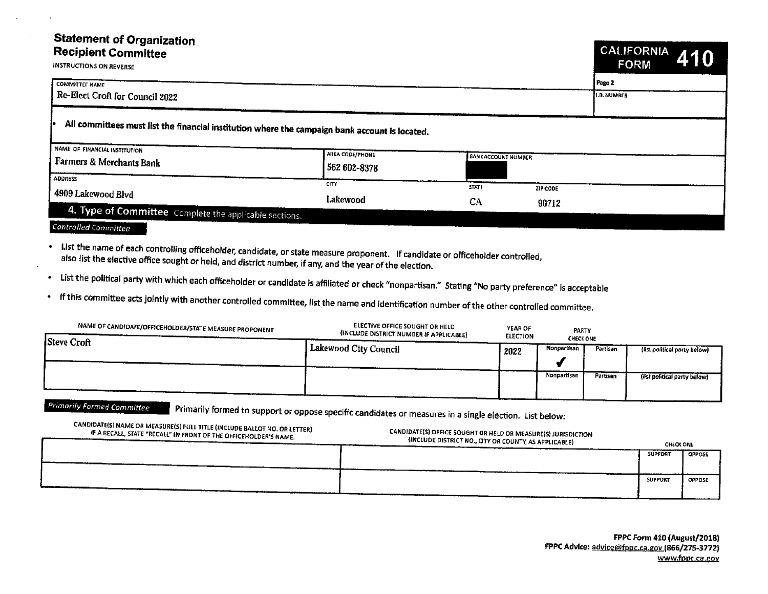## Statement of Organization

| <b>Recipient Committee</b><br><b>INSTRUCTIONS ON REVERSE</b>                                   |                             |                           |          | <u>I CALIFORNIA I</u><br><b>FORM</b> | 410 |
|------------------------------------------------------------------------------------------------|-----------------------------|---------------------------|----------|--------------------------------------|-----|
| <b>COMMITTET NAME</b>                                                                          |                             |                           |          | Page 2                               |     |
| Re-Elect Croft for Council 2022                                                                |                             |                           |          | <b>I.D. NUMBER</b>                   |     |
| All committees must list the financial institution where the campaign bank account is located. |                             |                           |          |                                      |     |
| NAME OF FINANCIAL INSTITUTION<br>Farmers & Merchants Bank                                      | AREA CODE/PHONE             | <b>BANKACCOUNT NUMBER</b> |          |                                      |     |
| <b>ADDRESS</b>                                                                                 | 562 602-8378<br><b>CITY</b> |                           |          |                                      |     |
| 4909 Lakewood Blvd                                                                             | Lakewood                    | <b>STATE</b><br>CA        | ZIP CODE |                                      |     |
| 4. Type of Committee Complete the applicable sections.                                         |                             |                           | 90712    |                                      |     |
| Controlled Committee                                                                           |                             |                           |          |                                      |     |

- List the name of each controlling officeholder, candidate, or state measure proponent. If candidate or officeholder controlled, also list the elective office sought or held, and district number, if any, and the year of the election.
- List the political party with which each officeholder or candidate is affiliated or check" nonpartisan." Stating" No party preference" is acceptable

If this committee acts jointly with another controlled committee, list the name and identification number of the other controlled committee.

| NAME OF CANDIDATE/OFFICEHOLDER/STATE MEASURE PROPONENT<br>Steve Croft | <b>ELECTIVE OFFICE SOUGHT OR HELD</b><br>(INCLUDE DISTRICT NUMBER IF APPLICABLE) | YEAR OF<br><b>ELECTION</b> | PARTY<br><b>CHECK ONE</b> |                 |                              |
|-----------------------------------------------------------------------|----------------------------------------------------------------------------------|----------------------------|---------------------------|-----------------|------------------------------|
|                                                                       | 1 Lakewood City Council                                                          | 2022                       | Nonpartisan               | Partisan        | (list political party below) |
|                                                                       |                                                                                  |                            |                           |                 |                              |
|                                                                       |                                                                                  |                            | Nonpartisan               | <b>Partisan</b> | (list political party below) |
|                                                                       |                                                                                  |                            |                           |                 |                              |

Primarily Formed Committee . Primarily formed to support or oppose specific candidates or measures in a single election. List below:

| CANDIDATE(S) NAME OR MEASURE(S) FULL TITLE (INCLUDE BALLOT NO. OR LETTER)<br>IF A RECALL, STATE "RECALL" IN FRONT OF THE OFFICEHOLDER'S NAME. | CANDIDATE(S) OFFICE SOUGHT OR HELD OR MEASURE(S) JURISDICTION<br>(INCLUDE DISTRICT NO., CITY OR COUNTY, AS APPLICABLE) | <b>CHECK ONE</b> |               |
|-----------------------------------------------------------------------------------------------------------------------------------------------|------------------------------------------------------------------------------------------------------------------------|------------------|---------------|
|                                                                                                                                               |                                                                                                                        | <b>SUPPORT</b>   | <b>OPPOSE</b> |
|                                                                                                                                               |                                                                                                                        | <b>SUPPORT</b>   | OPPOSE        |
|                                                                                                                                               |                                                                                                                        |                  |               |

FPPC Form 410 (August/2018) FPPC Advice: advice@fppc.ca.gov (866/275-3772) www.fppc.ca.gov